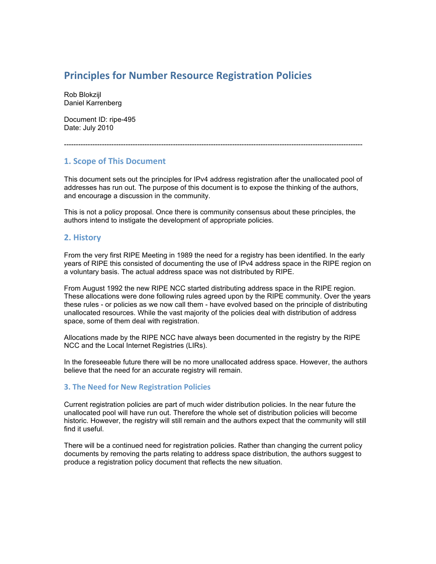# **Principles
for
Number
Resource
Registration
Policies**

Rob Blokzijl Daniel Karrenberg

Document ID: ripe-495 Date: July 2010

# **1.
Scope
of
This
Document**

This document sets out the principles for IPv4 address registration after the unallocated pool of addresses has run out. The purpose of this document is to expose the thinking of the authors, and encourage a discussion in the community.

------------------------------------------------------------------------------------------------------------------------------

This is not a policy proposal. Once there is community consensus about these principles, the authors intend to instigate the development of appropriate policies.

## **2.
History**

From the very first RIPE Meeting in 1989 the need for a registry has been identified. In the early years of RIPE this consisted of documenting the use of IPv4 address space in the RIPE region on a voluntary basis. The actual address space was not distributed by RIPE.

From August 1992 the new RIPE NCC started distributing address space in the RIPE region. These allocations were done following rules agreed upon by the RIPE community. Over the years these rules - or policies as we now call them - have evolved based on the principle of distributing unallocated resources. While the vast majority of the policies deal with distribution of address space, some of them deal with registration.

Allocations made by the RIPE NCC have always been documented in the registry by the RIPE NCC and the Local Internet Registries (LIRs).

In the foreseeable future there will be no more unallocated address space. However, the authors believe that the need for an accurate registry will remain.

## **3.
The
Need
for
New
Registration
Policies**

Current registration policies are part of much wider distribution policies. In the near future the unallocated pool will have run out. Therefore the whole set of distribution policies will become historic. However, the registry will still remain and the authors expect that the community will still find it useful.

There will be a continued need for registration policies. Rather than changing the current policy documents by removing the parts relating to address space distribution, the authors suggest to produce a registration policy document that reflects the new situation.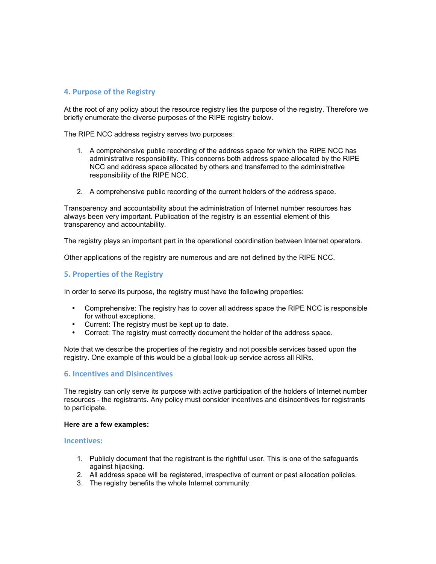## **4.
Purpose
of
the
Registry**

At the root of any policy about the resource registry lies the purpose of the registry. Therefore we briefly enumerate the diverse purposes of the RIPE registry below.

The RIPE NCC address registry serves two purposes:

- 1. A comprehensive public recording of the address space for which the RIPE NCC has administrative responsibility. This concerns both address space allocated by the RIPE NCC and address space allocated by others and transferred to the administrative responsibility of the RIPE NCC.
- 2. A comprehensive public recording of the current holders of the address space.

Transparency and accountability about the administration of Internet number resources has always been very important. Publication of the registry is an essential element of this transparency and accountability.

The registry plays an important part in the operational coordination between Internet operators.

Other applications of the registry are numerous and are not defined by the RIPE NCC.

## **5.
Properties
of
the
Registry**

In order to serve its purpose, the registry must have the following properties:

- Comprehensive: The registry has to cover all address space the RIPE NCC is responsible for without exceptions.
- Current: The registry must be kept up to date.<br>• Correct: The registry must correctly document
- Correct: The registry must correctly document the holder of the address space.

Note that we describe the properties of the registry and not possible services based upon the registry. One example of this would be a global look-up service across all RIRs.

#### **6.
Incentives
and
Disincentives**

The registry can only serve its purpose with active participation of the holders of Internet number resources - the registrants. Any policy must consider incentives and disincentives for registrants to participate.

#### **Here are a few examples:**

#### **Incentives:**

- 1. Publicly document that the registrant is the rightful user. This is one of the safeguards against hijacking.
- 2. All address space will be registered, irrespective of current or past allocation policies.
- 3. The registry benefits the whole Internet community.